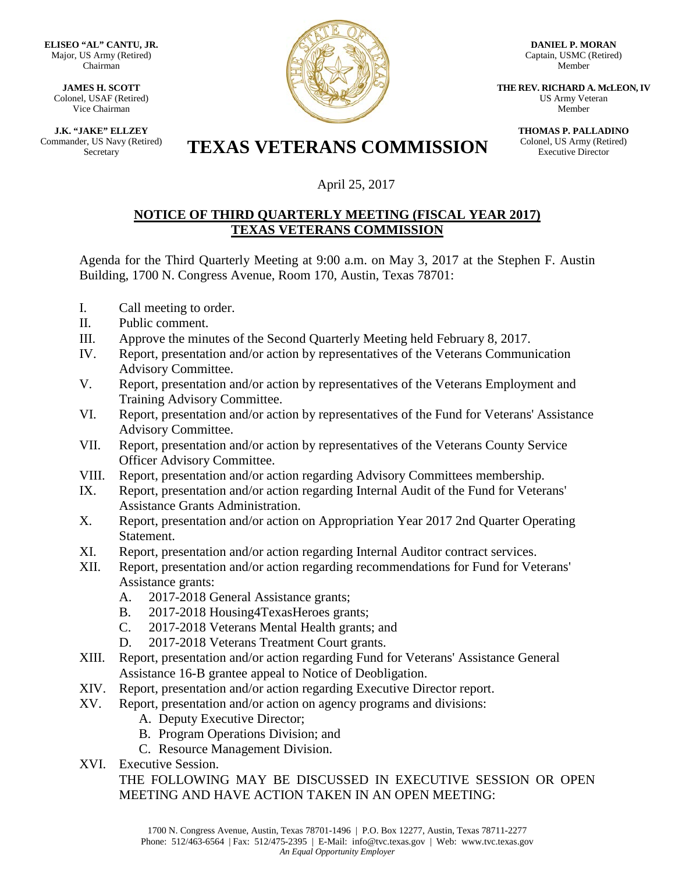**ELISEO "AL" CANTU, JR.** Major, US Army (Retired) Chairman

**JAMES H. SCOTT** Colonel, USAF (Retired) Vice Chairman

**J.K. "JAKE" ELLZEY** Commander, US Navy (Retired)



**DANIEL P. MORAN** Captain, USMC (Retired) Member

**THE REV. RICHARD A. McLEON, IV** US Army Veteran Member

> **THOMAS P. PALLADINO** Colonel, US Army (Retired) Executive Director

## Er, US Navy (Retired) **TEXAS VETERANS COMMISSION**

## April 25, 2017

## **NOTICE OF THIRD QUARTERLY MEETING (FISCAL YEAR 2017) TEXAS VETERANS COMMISSION**

Agenda for the Third Quarterly Meeting at 9:00 a.m. on May 3, 2017 at the Stephen F. Austin Building, 1700 N. Congress Avenue, Room 170, Austin, Texas 78701:

- I. Call meeting to order.
- II. Public comment.
- III. Approve the minutes of the Second Quarterly Meeting held February 8, 2017.
- IV. Report, presentation and/or action by representatives of the Veterans Communication Advisory Committee.
- V. Report, presentation and/or action by representatives of the Veterans Employment and Training Advisory Committee.
- VI. Report, presentation and/or action by representatives of the Fund for Veterans' Assistance Advisory Committee.
- VII. Report, presentation and/or action by representatives of the Veterans County Service Officer Advisory Committee.
- VIII. Report, presentation and/or action regarding Advisory Committees membership.
- IX. Report, presentation and/or action regarding Internal Audit of the Fund for Veterans' Assistance Grants Administration.
- X. Report, presentation and/or action on Appropriation Year 2017 2nd Quarter Operating Statement.
- XI. Report, presentation and/or action regarding Internal Auditor contract services.
- XII. Report, presentation and/or action regarding recommendations for Fund for Veterans' Assistance grants:
	- A. 2017-2018 General Assistance grants;
	- B. 2017-2018 Housing4TexasHeroes grants;
	- C. 2017-2018 Veterans Mental Health grants; and
	- D. 2017-2018 Veterans Treatment Court grants.
- XIII. Report, presentation and/or action regarding Fund for Veterans' Assistance General Assistance 16-B grantee appeal to Notice of Deobligation.
- XIV. Report, presentation and/or action regarding Executive Director report.
- XV. Report, presentation and/or action on agency programs and divisions:
	- A. Deputy Executive Director;
	- B. Program Operations Division; and
	- C. Resource Management Division.
- XVI. Executive Session.

## THE FOLLOWING MAY BE DISCUSSED IN EXECUTIVE SESSION OR OPEN MEETING AND HAVE ACTION TAKEN IN AN OPEN MEETING: